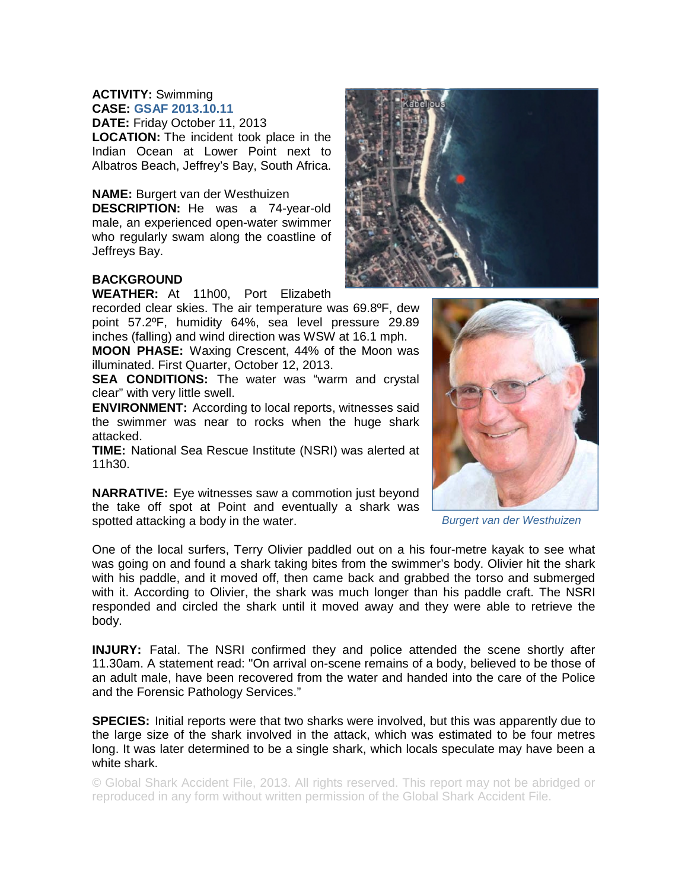#### **ACTIVITY:** Swimming **CASE: GSAF 2013.10.11**

**DATE:** Friday October 11, 2013 **LOCATION:** The incident took place in the Indian Ocean at Lower Point next to Albatros Beach, Jeffrey's Bay, South Africa.

**NAME:** Burgert van der Westhuizen

**DESCRIPTION:** He was a 74-year-old male, an experienced open-water swimmer who regularly swam along the coastline of Jeffreys Bay.



# **BACKGROUND**

**WEATHER:** At 11h00, Port Elizabeth

recorded clear skies. The air temperature was 69.8ºF, dew point 57.2ºF, humidity 64%, sea level pressure 29.89 inches (falling) and wind direction was WSW at 16.1 mph.

**MOON PHASE:** Waxing Crescent, 44% of the Moon was illuminated. First Quarter, October 12, 2013.

**SEA CONDITIONS:** The water was "warm and crystal clear" with very little swell.

**ENVIRONMENT:** According to local reports, witnesses said the swimmer was near to rocks when the huge shark attacked.

**TIME:** National Sea Rescue Institute (NSRI) was alerted at 11h30.

**NARRATIVE:** Eye witnesses saw a commotion just beyond the take off spot at Point and eventually a shark was spotted attacking a body in the water.



*Burgert van der Westhuizen* 

One of the local surfers, Terry Olivier paddled out on a his four-metre kayak to see what was going on and found a shark taking bites from the swimmer's body. Olivier hit the shark with his paddle, and it moved off, then came back and grabbed the torso and submerged with it. According to Olivier, the shark was much longer than his paddle craft. The NSRI responded and circled the shark until it moved away and they were able to retrieve the body.

**INJURY:** Fatal. The NSRI confirmed they and police attended the scene shortly after 11.30am. A statement read: "On arrival on-scene remains of a body, believed to be those of an adult male, have been recovered from the water and handed into the care of the Police and the Forensic Pathology Services."

**SPECIES:** Initial reports were that two sharks were involved, but this was apparently due to the large size of the shark involved in the attack, which was estimated to be four metres long. It was later determined to be a single shark, which locals speculate may have been a white shark.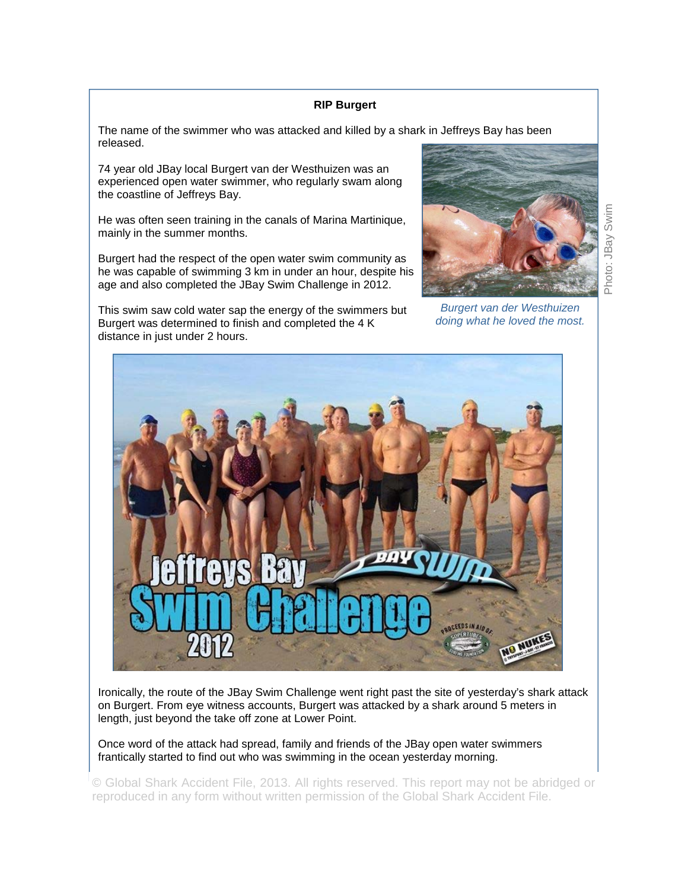## **RIP Burgert**

The name of the swimmer who was attacked and killed by a shark in Jeffreys Bay has been released.

74 year old JBay local Burgert van der Westhuizen was an experienced open water swimmer, who regularly swam along the coastline of Jeffreys Bay.

He was often seen training in the canals of Marina Martinique, mainly in the summer months.

Burgert had the respect of the open water swim community as he was capable of swimming 3 km in under an hour, despite his age and also completed the JBay Swim Challenge in 2012.

Photo: JBay Swim Photo: JBay Swim

*Burgert van der Westhuizen doing what he loved the most.* 



Ironically, the route of the JBay Swim Challenge went right past the site of yesterday's shark attack on Burgert. From eye witness accounts, Burgert was attacked by a shark around 5 meters in length, just beyond the take off zone at Lower Point.

Once word of the attack had spread, family and friends of the JBay open water swimmers frantically started to find out who was swimming in the ocean yesterday morning.

© Global Shark Accident File, 2013. All rights reserved. This report may not be abridged or reproduced in any form without written permission of the Global Shark Accident File.

This swim saw cold water sap the energy of the swimmers but Burgert was determined to finish and completed the 4 K distance in just under 2 hours.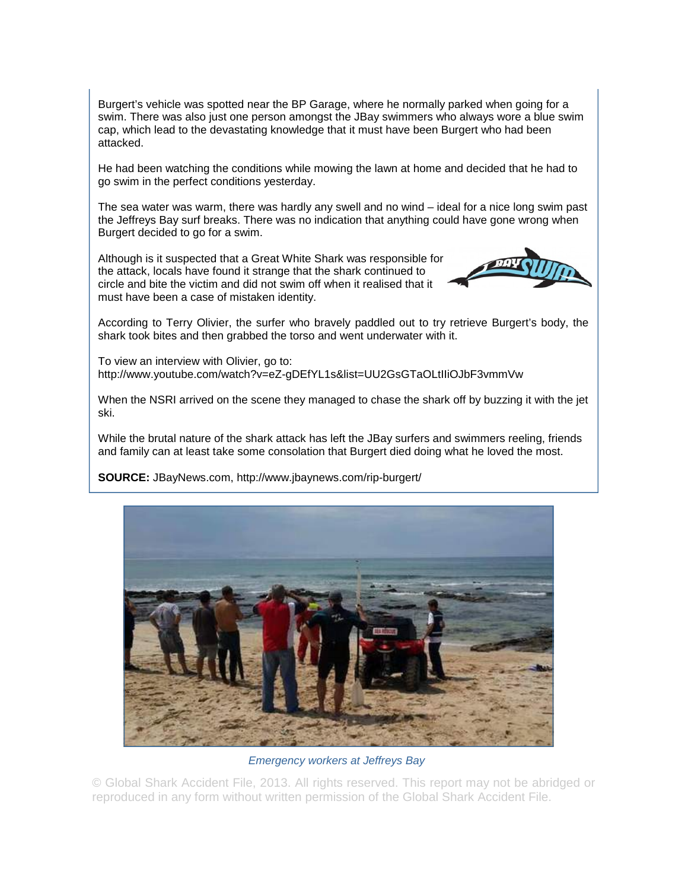Burgert's vehicle was spotted near the BP Garage, where he normally parked when going for a swim. There was also just one person amongst the JBay swimmers who always wore a blue swim cap, which lead to the devastating knowledge that it must have been Burgert who had been attacked.

He had been watching the conditions while mowing the lawn at home and decided that he had to go swim in the perfect conditions yesterday.

The sea water was warm, there was hardly any swell and no wind – ideal for a nice long swim past the Jeffreys Bay surf breaks. There was no indication that anything could have gone wrong when Burgert decided to go for a swim.

Although is it suspected that a Great White Shark was responsible for the attack, locals have found it strange that the shark continued to circle and bite the victim and did not swim off when it realised that it must have been a case of mistaken identity.



According to Terry Olivier, the surfer who bravely paddled out to try retrieve Burgert's body, the shark took bites and then grabbed the torso and went underwater with it.

To view an interview with Olivier, go to: http://www.youtube.com/watch?v=eZ-gDEfYL1s&list=UU2GsGTaOLtIIiOJbF3vmmVw

When the NSRI arrived on the scene they managed to chase the shark off by buzzing it with the jet ski.

While the brutal nature of the shark attack has left the JBay surfers and swimmers reeling, friends and family can at least take some consolation that Burgert died doing what he loved the most.

**SOURCE:** JBayNews.com, http://www.jbaynews.com/rip-burgert/



*Emergency workers at Jeffreys Bay*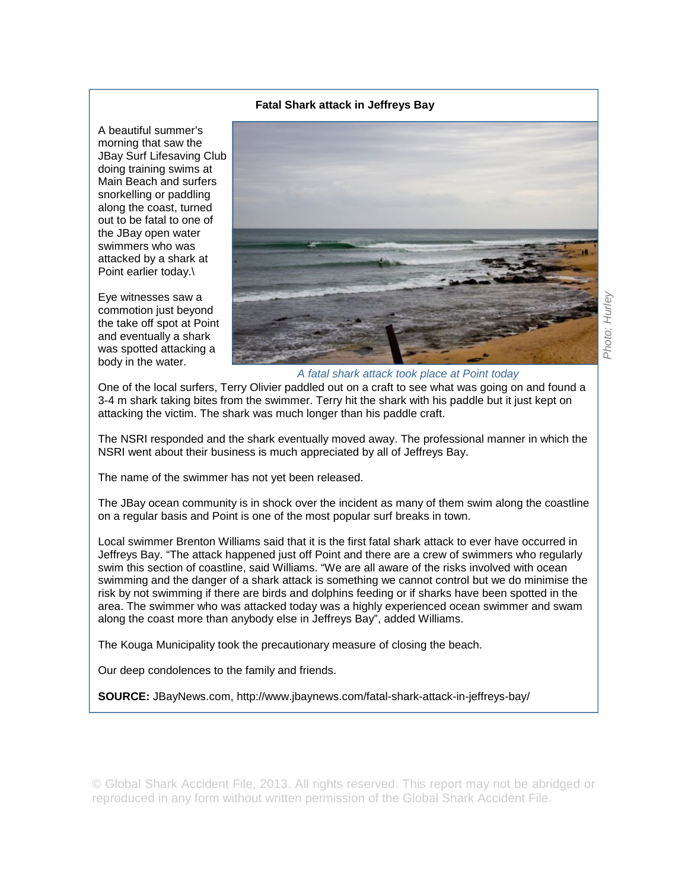### **Fatal Shark attack in Jeffreys Bay**

A beautiful summer's morning that saw the JBay Surf Lifesaving Club doing training swims at Main Beach and surfers snorkelling or paddling along the coast, turned out to be fatal to one of the JBay open water swimmers who was attacked by a shark at Point earlier today.\

Eye witnesses saw a commotion just beyond the take off spot at Point and eventually a shark was spotted attacking a body in the water.



*A fatal shark attack took place at Point today* 

One of the local surfers, Terry Olivier paddled out on a craft to see what was going on and found a 3-4 m shark taking bites from the swimmer. Terry hit the shark with his paddle but it just kept on attacking the victim. The shark was much longer than his paddle craft.

The NSRI responded and the shark eventually moved away. The professional manner in which the NSRI went about their business is much appreciated by all of Jeffreys Bay.

The name of the swimmer has not yet been released.

The JBay ocean community is in shock over the incident as many of them swim along the coastline on a regular basis and Point is one of the most popular surf breaks in town.

Local swimmer Brenton Williams said that it is the first fatal shark attack to ever have occurred in Jeffreys Bay. "The attack happened just off Point and there are a crew of swimmers who regularly swim this section of coastline, said Williams. "We are all aware of the risks involved with ocean swimming and the danger of a shark attack is something we cannot control but we do minimise the risk by not swimming if there are birds and dolphins feeding or if sharks have been spotted in the area. The swimmer who was attacked today was a highly experienced ocean swimmer and swam along the coast more than anybody else in Jeffreys Bay", added Williams.

The Kouga Municipality took the precautionary measure of closing the beach.

Our deep condolences to the family and friends.

**SOURCE:** JBayNews.com, http://www.jbaynews.com/fatal-shark-attack-in-jeffreys-bay/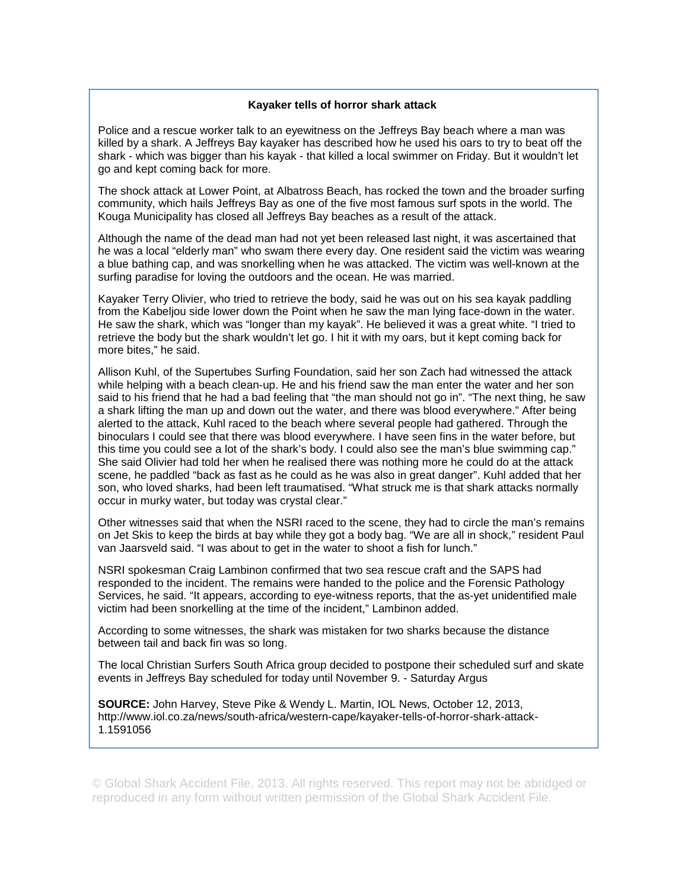### **Kayaker tells of horror shark attack**

Police and a rescue worker talk to an eyewitness on the Jeffreys Bay beach where a man was killed by a shark. A Jeffreys Bay kayaker has described how he used his oars to try to beat off the shark - which was bigger than his kayak - that killed a local swimmer on Friday. But it wouldn't let go and kept coming back for more.

The shock attack at Lower Point, at Albatross Beach, has rocked the town and the broader surfing community, which hails Jeffreys Bay as one of the five most famous surf spots in the world. The Kouga Municipality has closed all Jeffreys Bay beaches as a result of the attack.

Although the name of the dead man had not yet been released last night, it was ascertained that he was a local "elderly man" who swam there every day. One resident said the victim was wearing a blue bathing cap, and was snorkelling when he was attacked. The victim was well-known at the surfing paradise for loving the outdoors and the ocean. He was married.

Kayaker Terry Olivier, who tried to retrieve the body, said he was out on his sea kayak paddling from the Kabeljou side lower down the Point when he saw the man lying face-down in the water. He saw the shark, which was "longer than my kayak". He believed it was a great white. "I tried to retrieve the body but the shark wouldn't let go. I hit it with my oars, but it kept coming back for more bites," he said.

Allison Kuhl, of the Supertubes Surfing Foundation, said her son Zach had witnessed the attack while helping with a beach clean-up. He and his friend saw the man enter the water and her son said to his friend that he had a bad feeling that "the man should not go in". "The next thing, he saw a shark lifting the man up and down out the water, and there was blood everywhere." After being alerted to the attack, Kuhl raced to the beach where several people had gathered. Through the binoculars I could see that there was blood everywhere. I have seen fins in the water before, but this time you could see a lot of the shark's body. I could also see the man's blue swimming cap." She said Olivier had told her when he realised there was nothing more he could do at the attack scene, he paddled "back as fast as he could as he was also in great danger". Kuhl added that her son, who loved sharks, had been left traumatised. "What struck me is that shark attacks normally occur in murky water, but today was crystal clear."

Other witnesses said that when the NSRI raced to the scene, they had to circle the man's remains on Jet Skis to keep the birds at bay while they got a body bag. "We are all in shock," resident Paul van Jaarsveld said. "I was about to get in the water to shoot a fish for lunch."

NSRI spokesman Craig Lambinon confirmed that two sea rescue craft and the SAPS had responded to the incident. The remains were handed to the police and the Forensic Pathology Services, he said. "It appears, according to eye-witness reports, that the as-yet unidentified male victim had been snorkelling at the time of the incident," Lambinon added.

According to some witnesses, the shark was mistaken for two sharks because the distance between tail and back fin was so long.

The local Christian Surfers South Africa group decided to postpone their scheduled surf and skate events in Jeffreys Bay scheduled for today until November 9. - Saturday Argus

**SOURCE:** John Harvey, Steve Pike & Wendy L. Martin, IOL News, October 12, 2013, http://www.iol.co.za/news/south-africa/western-cape/kayaker-tells-of-horror-shark-attack-1.1591056